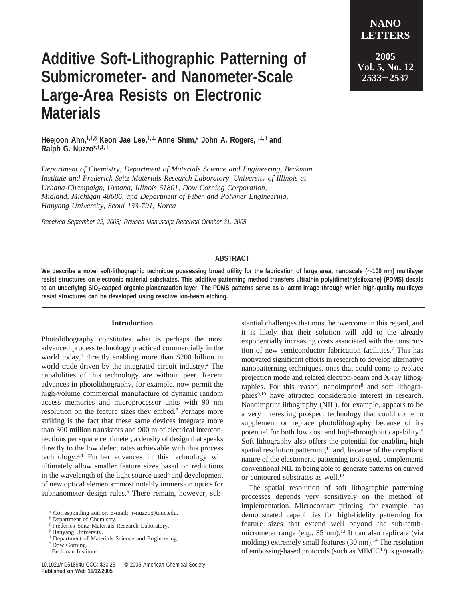## **Additive Soft-Lithographic Patterning of Submicrometer- and Nanometer-Scale Large-Area Resists on Electronic Materials**

**Heejoon Ahn,†,‡,§ Keon Jae Lee,‡,**<sup>⊥</sup> **Anne Shim,# John A. Rogers,†,**⊥**,**<sup>|</sup> **and Ralph G. Nuzzo\*,†,‡,**<sup>⊥</sup>

*Department of Chemistry, Department of Materials Science and Engineering, Beckman Institute and Frederick Seitz Materials Research Laboratory, University of Illinois at Urbana-Champaign, Urbana, Illinois 61801, Dow Corning Corporation, Midland, Michigan 48686, and Department of Fiber and Polymer Engineering, Hanyang Uni*V*ersity, Seoul 133-791, Korea*

Received September 22, 2005; Revised Manuscript Received October 31, 2005

## **ABSTRACT**

**We describe a novel soft-lithographic technique possessing broad utility for the fabrication of large area, nanoscale (**∼**100 nm) multilayer resist structures on electronic material substrates. This additive patterning method transfers ultrathin poly(dimethylsiloxane) (PDMS) decals** to an underlying SiO<sub>2</sub>-capped organic planarazation layer. The PDMS patterns serve as a latent image through which high-quality multilayer **resist structures can be developed using reactive ion-beam etching.**

## **Introduction**

Photolithography constitutes what is perhaps the most advanced process technology practiced commercially in the world today,<sup>1</sup> directly enabling more than \$200 billion in world trade driven by the integrated circuit industry.<sup>2</sup> The capabilities of this technology are without peer. Recent advances in photolithography, for example, now permit the high-volume commercial manufacture of dynamic random access memories and microprocessor units with 90 nm resolution on the feature sizes they embed.<sup>3</sup> Perhaps more striking is the fact that these same devices integrate more than 300 million transistors and 900 m of electrical interconnections per square centimeter, a density of design that speaks directly to the low defect rates achievable with this process technology.3,4 Further advances in this technology will ultimately allow smaller feature sizes based on reductions in the wavelength of the light source used<sup>5</sup> and development of new optical elements—most notably immersion optics for subnanometer design rules.<sup>6</sup> There remain, however, substantial challenges that must be overcome in this regard, and it is likely that their solution will add to the already exponentially increasing costs associated with the construction of new semiconductor fabrication facilities.7 This has motivated significant efforts in research to develop alternative nanopatterning techniques, ones that could come to replace projection mode and related electron-beam and X-ray lithographies. For this reason, nanoimprint<sup>8</sup> and soft lithographies<sup>9,10</sup> have attracted considerable interest in research. Nanoimprint lithography (NIL), for example, appears to be a very interesting prospect technology that could come to supplement or replace photolithography because of its potential for both low cost and high-throughput capability.8 Soft lithography also offers the potential for enabling high spatial resolution patterning<sup>11</sup> and, because of the compliant nature of the elastomeric patterning tools used, complements conventional NIL in being able to generate patterns on curved or contoured substrates as well.<sup>12</sup>

**NANO LETTERS**

**2005 Vol. 5, No. 12 <sup>2533</sup>**-**<sup>2537</sup>**

The spatial resolution of soft lithographic patterning processes depends very sensitively on the method of implementation. Microcontact printing, for example, has demonstrated capabilities for high-fidelity patterning for feature sizes that extend well beyond the sub-tenthmicrometer range (e.g.,  $35 \text{ nm}$ ).<sup>13</sup> It can also replicate (via molding) extremely small features (30 nm).<sup>14</sup> The resolution of embossing-based protocols (such as MIMIC<sup>15</sup>) is generally

<sup>\*</sup> Corresponding author. E-mail: r-nuzzo@uiuc.edu.

<sup>†</sup> Department of Chemistry.

<sup>‡</sup> Frederick Seitz Materials Research Laboratory.

<sup>§</sup> Hanyang University.

<sup>⊥</sup> Department of Materials Science and Engineering.

<sup>#</sup> Dow Corning.

<sup>|</sup> Beckman Institute.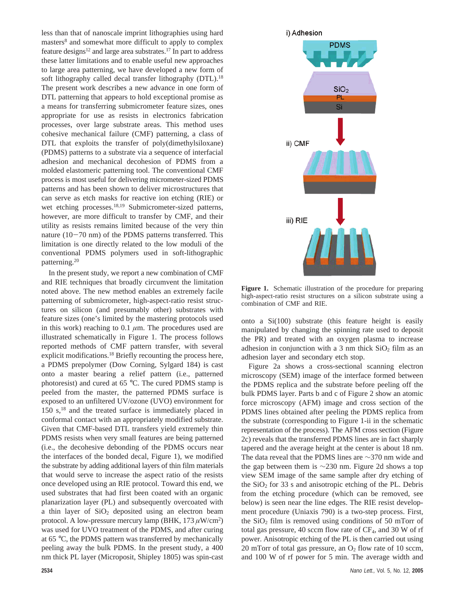less than that of nanoscale imprint lithographies using hard masters<sup>8</sup> and somewhat more difficult to apply to complex feature designs<sup>12</sup> and large area substrates.<sup>17</sup> In part to address these latter limitations and to enable useful new approaches to large area patterning, we have developed a new form of soft lithography called decal transfer lithography (DTL).<sup>18</sup> The present work describes a new advance in one form of DTL patterning that appears to hold exceptional promise as a means for transferring submicrometer feature sizes, ones appropriate for use as resists in electronics fabrication processes, over large substrate areas. This method uses cohesive mechanical failure (CMF) patterning, a class of DTL that exploits the transfer of poly(dimethylsiloxane) (PDMS) patterns to a substrate via a sequence of interfacial adhesion and mechanical decohesion of PDMS from a molded elastomeric patterning tool. The conventional CMF process is most useful for delivering micrometer-sized PDMS patterns and has been shown to deliver microstructures that can serve as etch masks for reactive ion etching (RIE) or wet etching processes.<sup>18,19</sup> Submicrometer-sized patterns, however, are more difficult to transfer by CMF, and their utility as resists remains limited because of the very thin nature  $(10-70 \text{ nm})$  of the PDMS patterns transferred. This limitation is one directly related to the low moduli of the conventional PDMS polymers used in soft-lithographic patterning.20

In the present study, we report a new combination of CMF and RIE techniques that broadly circumvent the limitation noted above. The new method enables an extremely facile patterning of submicrometer, high-aspect-ratio resist structures on silicon (and presumably other) substrates with feature sizes (one's limited by the mastering protocols used in this work) reaching to 0.1 *µ*m. The procedures used are illustrated schematically in Figure 1. The process follows reported methods of CMF pattern transfer, with several explicit modifications.<sup>18</sup> Briefly recounting the process here, a PDMS prepolymer (Dow Corning, Sylgard 184) is cast onto a master bearing a relief pattern (i.e., patterned photoresist) and cured at 65 °C. The cured PDMS stamp is peeled from the master, the patterned PDMS surface is exposed to an unfiltered UV/ozone (UVO) environment for 150 s,18 and the treated surface is immediately placed in conformal contact with an appropriately modified substrate. Given that CMF-based DTL transfers yield extremely thin PDMS resists when very small features are being patterned (i.e., the decohesive debonding of the PDMS occurs near the interfaces of the bonded decal, Figure 1), we modified the substrate by adding additional layers of thin film materials that would serve to increase the aspect ratio of the resists once developed using an RIE protocol. Toward this end, we used substrates that had first been coated with an organic planarization layer (PL) and subsequently overcoated with a thin layer of  $SiO<sub>2</sub>$  deposited using an electron beam protocol. A low-pressure mercury lamp (BHK, 173 *µ*W/cm2 ) was used for UVO treatment of the PDMS, and after curing at 65 °C, the PDMS pattern was transferred by mechanically peeling away the bulk PDMS. In the present study, a 400 nm thick PL layer (Microposit, Shipley 1805) was spin-cast



i) Adhesion

onto a Si(100) substrate (this feature height is easily manipulated by changing the spinning rate used to deposit the PR) and treated with an oxygen plasma to increase adhesion in conjunction with a 3 nm thick  $SiO<sub>2</sub>$  film as an adhesion layer and secondary etch stop.

Figure 2a shows a cross-sectional scanning electron microscopy (SEM) image of the interface formed between the PDMS replica and the substrate before peeling off the bulk PDMS layer. Parts b and c of Figure 2 show an atomic force microscopy (AFM) image and cross section of the PDMS lines obtained after peeling the PDMS replica from the substrate (corresponding to Figure 1-ii in the schematic representation of the process). The AFM cross section (Figure 2c) reveals that the transferred PDMS lines are in fact sharply tapered and the average height at the center is about 18 nm. The data reveal that the PDMS lines are ∼370 nm wide and the gap between them is ∼230 nm. Figure 2d shows a top view SEM image of the same sample after dry etching of the  $SiO<sub>2</sub>$  for 33 s and anisotropic etching of the PL. Debris from the etching procedure (which can be removed, see below) is seen near the line edges. The RIE resist development procedure (Uniaxis 790) is a two-step process. First, the  $SiO<sub>2</sub>$  film is removed using conditions of 50 mTorr of total gas pressure, 40 sccm flow rate of CF<sub>4</sub>, and 30 W of rf power. Anisotropic etching of the PL is then carried out using 20 mTorr of total gas pressure, an  $O_2$  flow rate of 10 sccm, and 100 W of rf power for 5 min. The average width and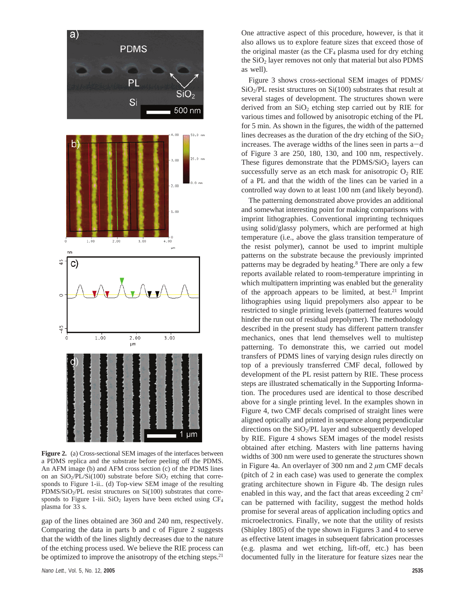

**Figure 2.** (a) Cross-sectional SEM images of the interfaces between a PDMS replica and the substrate before peeling off the PDMS. An AFM image (b) and AFM cross section (c) of the PDMS lines on an  $SiO<sub>2</sub>/PL/Si(100)$  substrate before  $SiO<sub>2</sub>$  etching that corresponds to Figure 1-ii.. (d) Top-view SEM image of the resulting PDMS/SiO<sub>2</sub>/PL resist structures on Si $(100)$  substrates that corresponds to Figure 1-iii.  $SiO<sub>2</sub>$  layers have been etched using  $CF<sub>4</sub>$ plasma for 33 s.

gap of the lines obtained are 360 and 240 nm, respectively. Comparing the data in parts b and c of Figure 2 suggests that the width of the lines slightly decreases due to the nature of the etching process used. We believe the RIE process can be optimized to improve the anisotropy of the etching steps. $2<sup>1</sup>$ 

One attractive aspect of this procedure, however, is that it also allows us to explore feature sizes that exceed those of the original master (as the  $CF_4$  plasma used for dry etching the  $SiO<sub>2</sub>$  layer removes not only that material but also PDMS as well).

Figure 3 shows cross-sectional SEM images of PDMS/  $SiO<sub>2</sub>/PL$  resist structures on  $Si(100)$  substrates that result at several stages of development. The structures shown were derived from an  $SiO<sub>2</sub>$  etching step carried out by RIE for various times and followed by anisotropic etching of the PL for 5 min. As shown in the figures, the width of the patterned lines decreases as the duration of the dry etching of the  $SiO<sub>2</sub>$ increases. The average widths of the lines seen in parts  $a-d$ of Figure 3 are 250, 180, 130, and 100 nm, respectively. These figures demonstrate that the  $PDMS/SiO<sub>2</sub>$  layers can successfully serve as an etch mask for anisotropic  $O_2$  RIE of a PL and that the width of the lines can be varied in a controlled way down to at least 100 nm (and likely beyond).

The patterning demonstrated above provides an additional and somewhat interesting point for making comparisons with imprint lithographies. Conventional imprinting techniques using solid/glassy polymers, which are performed at high temperature (i.e., above the glass transition temperature of the resist polymer), cannot be used to imprint multiple patterns on the substrate because the previously imprinted patterns may be degraded by heating.8 There are only a few reports available related to room-temperature imprinting in which multipattern imprinting was enabled but the generality of the approach appears to be limited, at best.21 Imprint lithographies using liquid prepolymers also appear to be restricted to single printing levels (patterned features would hinder the run out of residual prepolymer). The methodology described in the present study has different pattern transfer mechanics, ones that lend themselves well to multistep patterning. To demonstrate this, we carried out model transfers of PDMS lines of varying design rules directly on top of a previously transferred CMF decal, followed by development of the PL resist pattern by RIE. These process steps are illustrated schematically in the Supporting Information. The procedures used are identical to those described above for a single printing level. In the examples shown in Figure 4, two CMF decals comprised of straight lines were aligned optically and printed in sequence along perpendicular directions on the  $SiO<sub>2</sub>/PL$  layer and subsequently developed by RIE. Figure 4 shows SEM images of the model resists obtained after etching. Masters with line patterns having widths of 300 nm were used to generate the structures shown in Figure 4a. An overlayer of 300 nm and 2 *µ*m CMF decals (pitch of 2 in each case) was used to generate the complex grating architecture shown in Figure 4b. The design rules enabled in this way, and the fact that areas exceeding  $2 \text{ cm}^2$ can be patterned with facility, suggest the method holds promise for several areas of application including optics and microelectronics. Finally, we note that the utility of resists (Shipley 1805) of the type shown in Figures 3 and 4 to serve as effective latent images in subsequent fabrication processes (e.g. plasma and wet etching, lift-off, etc.) has been documented fully in the literature for feature sizes near the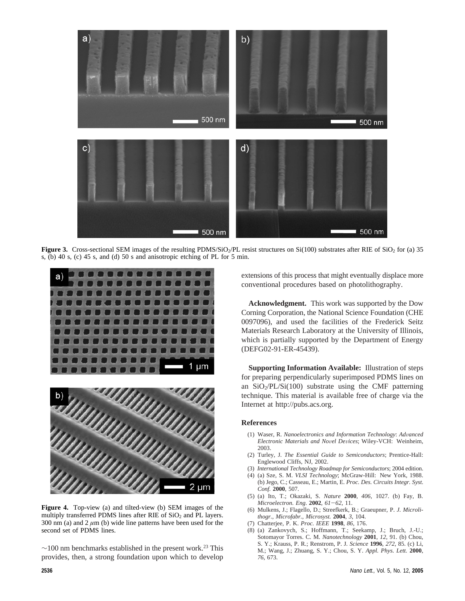

**Figure 3.** Cross-sectional SEM images of the resulting PDMS/SiO<sub>2</sub>/PL resist structures on Si(100) substrates after RIE of SiO<sub>2</sub> for (a) 35 s, (b) 40 s, (c) 45 s, and (d) 50 s and anisotropic etching of PL for 5 min.



**Figure 4.** Top-view (a) and tilted-view (b) SEM images of the multiply transferred PDMS lines after RIE of  $SiO<sub>2</sub>$  and PL layers. 300 nm (a) and  $2 \mu m$  (b) wide line patterns have been used for the second set of PDMS lines.

 $\sim$ 100 nm benchmarks established in the present work.<sup>23</sup> This provides, then, a strong foundation upon which to develop

extensions of this process that might eventually displace more conventional procedures based on photolithography.

**Acknowledgment.** This work was supported by the Dow Corning Corporation, the National Science Foundation (CHE 0097096), and used the facilities of the Frederick Seitz Materials Research Laboratory at the University of Illinois, which is partially supported by the Department of Energy (DEFG02-91-ER-45439).

**Supporting Information Available:** Illustration of steps for preparing perpendicularly superimposed PDMS lines on an  $SiO<sub>2</sub>/PL/Si(100)$  substrate using the CMF patterning technique. This material is available free of charge via the Internet at http://pubs.acs.org.

## **References**

- (1) Waser, R. *Nanoelectronics and Information Technology*: *Ad*V*anced Electronic Materials and Novel Devices*; Wiley-VCH: Weinheim, 2003.
- (2) Turley, J. *The Essential Guide to Semiconductors*; Prentice-Hall: Englewood Cliffs, NJ, 2002.
- (3) *International Technology Roadmap for Semiconductors*; 2004 edition.
- (4) (a) Sze, S. M. *VLSI Technology*; McGraw-Hill: New York, 1988. (b) Jego, C.; Casseau, E.; Martin, E. *Proc. Des. Circuits Integr. Syst. Conf.* **2000**, 507.
- (5) (a) Ito, T.; Okazaki, S. *Nature* **2000**, *406*, 1027. (b) Fay, B. *Microelectron. Eng*. **<sup>2002</sup>**, *<sup>61</sup>*-*62*, 11.
- (6) Mulkens, J.; Flagello, D.; Streefkerk, B.; Graeupner, P. *J. Microlithogr., Microfabr., Microsyst.* **2004**, *3*, 104.
- (7) Chatterjee, P. K. *Proc. IEEE* **1998**, *86*, 176.
- (8) (a) Zankovych, S.; Hoffmann, T.; Seekamp, J.; Bruch, J.-U.; Sotomayor Torres. C. M. *Nanotechnology* **2001**, *12*, 91. (b) Chou, S. Y.; Krauss, P. R.; Renstrom, P. J. *Science* **1996**, *272*, 85. (c) Li, M.; Wang, J.; Zhuang, S. Y.; Chou, S. Y. *Appl. Phys. Lett.* **2000**, *76*, 673.